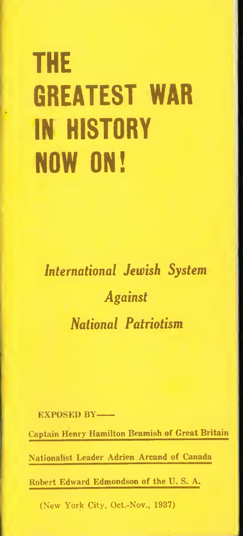# THE GREATEST WAR IN HISTORY NOW ON!

# International Jewish System Against National Patriotism

EXPOSED BY Captain Henry Hamilton Beamish of Great Britain Nationalist Leader Adrien Arcand of Canada Robert Edward Edmondson of the U. S. A.

(New York City, Oct.-Nov., 1937)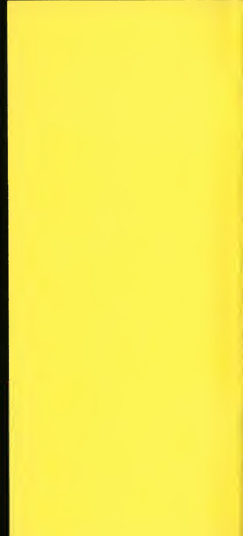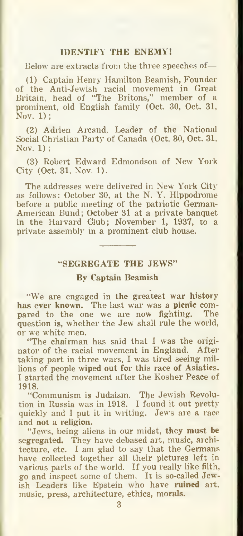#### IDENTIFY THE ENEMY!

# Below are extracts from the three speeches of

—

(1) Captain Henry Hamilton Beamish, Founder of the Anti-Jewish racial movement in Great Britain, head of "The Britons," member of <sup>a</sup> prominent, old English family (Oct. 30, Oct. 31,  $Nov. 1$ ):

(2) Adrien Arcand, Leader of the National Social Christian Party of Canada (Oct. 30, Oct. 31, Nov. 1)

(3) Robert Edward Edmondson of New York City (Oct. 31. Nov. 1).

The addresses were delivered in New York City as follows: October 30, at the N. Y. Hippodrome before a public meeting of the patriotic German-American Bund; October 31 at a private banquet in the Harvard Club; November 1, 1937, to a private assembly in a prominent club house.

# "SEGREGATE THE JEWS"

#### By Captain Beamish

"We are engaged in the greatest war history has ever known. The last war was a picnic compared to the one we are now fighting. The question is, whether the Jew shall rule the world, or we white men.

"The chairman has said that <sup>I</sup> was the origi nator of the racial movement in England. After taking part in three wars, <sup>I</sup>was tired seeing millions of people wiped out for this race of Asiatics. <sup>I</sup> started the movement after the Kosher Peace of

1918. "Communism is Judaism. The Jewish Revolu-tion in Russia was in1918. <sup>I</sup> found it out pretty quickly and <sup>I</sup> put it in writing. Jews are a race and not a religion.

"Jews, being aliens in our midst, they must be segregated. They have debased art, music, architecture, etc. <sup>I</sup> am glad to say that the Germans have collected together all their pictures left in various parts of the world. If you really like filth, go and inspect some of them. It is so-called Jewish Leaders like Epstein who have ruined art, music, press, architecture, ethics, morals.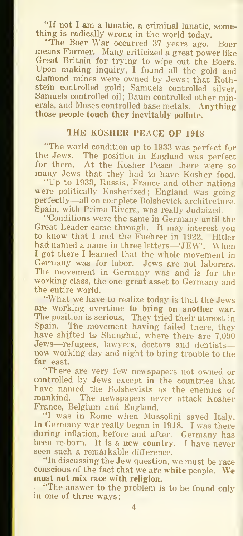"If not I am a lunatic, a criminal lunatic, something is radically wrong in the world today.

"The Boer War occurred 37 years ago. Boer<br>means Farmer. Many criticized a great power like<br>Great Eritain for trying to wipe out the Boers.<br>Upon making inquiry, I found all the gold and<br>diamond mines were owned by Jews; tha stein controlled gold; Samuels controlled silver, Samuels controlled oil ; Baum controlled other minerals, and Moses controlled base metals. Anything those people touch they inevitably pollute.

# THE KOSHER PEACE OF <sup>1918</sup>

"The world condition up to 1933 was perfect for the Jews. The position in England was perfect<br>for them. At the Kosher Peace there were so

many Jews that they had to have Kosher food. "Up to 1933, Russia, France and other nations were politically Kosherized; England was going perfectly—all on complete Bolshevick architecture. Spain, with Prima Rivera, was really Judaized.

"Conditions were the same in Germany until the Great Leader came through. It may interest you had named a name in three letters—'JEW'. When<br>I got there I learned that the whole movement in Germany was for labor. Jews are not laborers.<br>The movement in Germany was and is for the working class, the one great asset to Germany and the entire world.

"What we have to realize today is that the Jews<br>are working overtime to bring on another war. The position is serious. They tried their utmost in Spain. The movement having failed there, they have shifted to Shanghai, where there are 7,000 Jews—refugees, lawyers, doctors and dentists now working day and night to bring trouble to the far east.

"There are very few newspapers not owned or controlled by Jews except in the countries that have named the Bolshevists as the enemies of<br>mankind. The newspapers never attack Koshar The newspapers never attack Kosher France, Belgium and England.

"I was in Rome when Mussolini saved Italy. In Germany war really began in 1918. <sup>I</sup> was there during inflation, before and after. Germany has been re-bom. It is a new country. <sup>I</sup> have never seen such a remarkable difference.

"In discussing the Jew question, we must be race conscious of the fact that we are white people. We must not mix race with religion.

"The answer to the problem is to be found only in one of three ways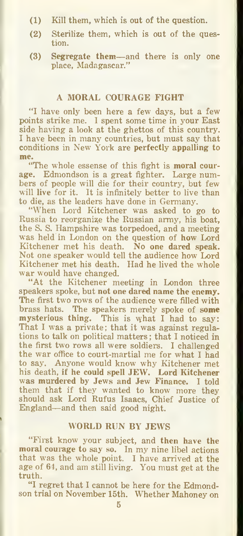- (1) Kill them, which is out of the question.
- (2) Sterilize them, which is out of the question.
- (3) Segregate them—and there is only one place, Madagascar."

# A MORAL COURAGE FIGHT

"I have only been here a few days, but a few points strike me. <sup>1</sup> spent some time in your East side having a look at the ghettos of this country. <sup>I</sup> have been in many countries, but must say that conditions in New York are perfectly appalling to me.

"The whole essense of this fight is moral cour age. Edmondson is a great fighter. Large numbers of people will die for their country, but few will live for it. It is infinitely better to live than to die, as the leaders have done in Germany.

"When Lord Kitchener was asked to go to Russia to reorganize the Russian army, his boat, the S. S. Hampshire was torpedoed, and a meeting was held in London on the question of how Lord Kitchener met his death. No one dared speak. Not one speaker would tell the audience how Lord Kitchener met his death. Had he lived the whole war would have changed.

"At the Kitchener meeting in London three speakers spoke, but not one dared name the enemy. The first two rows of the audience were filled with brass hats. The speakers merely spoke of some mysterious thing. This is what I had to say: That <sup>I</sup> was a private; that it was against regulations to talk on political matters ; that <sup>I</sup> noticed in the first two rows all were soldiers. <sup>I</sup> challenged the war office to court-martial me for what <sup>I</sup> had to say. Anyone would know why Kitchener met<br>his death, if he could spell JEW. Lord Kitchener was murdered by Jews and Jew Finance. I told them that if they wanted to know more they should ask Lord Rufus Isaacs, Chief Justice of England—and then said good night.

#### WORLD RUN BY JEWS

"First know your subject, and then have the moral courage to say so. In my nine libel actions that was the whole point. <sup>I</sup> have arrived at the age of 64, and am stillliving. You must get at the truth.

"I regret that <sup>I</sup> cannot be here for the Edmondson trial on November 15th. Whether Mahoney on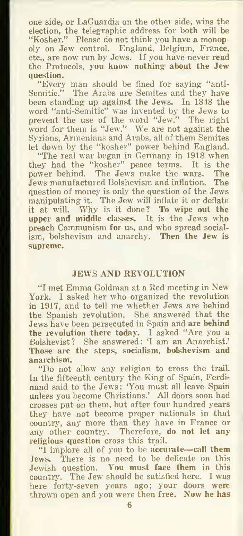one side, or LaGuardia on the other side, wins the election, the telegraphic address for both will be "Kosher." Please do not think you have a monopoly on Jew control. England, Belgium, Fran**ce,**<br>etc., are now run by Jews. If you have never r**ead** the Protocols, you know' nothing about the Jew question.

"Every man should be fined for saying "anti- Semitic." The Arabs are Semites and they have been standing up against the Jews. In 1848 the word "anti-Semitic" was invented by the Jews to prevent the use of the word "Jew." The right word for them is "Jew." We are not against the Syrians, Armenians and Arabs, all of them Semites let down by the "kosher" power behind England.

"The real war began in Germany in1918 when they had the "kosher" peace terms. It is the power behind. The Jew's make the wars. The Jews manufactured Bolshevism and inflation. The question of money is only the question of the Jew's manipulating it. The Jew will inflate it or deflate it at will. Why is it done? To wipe out the upper and middle classes. It is the Jews who preach Communism for us, and who spread social ism, bolshevism and anarchy. Then the Jew issupreme.

### JEWS AND REVOLUTION

"I met Emma Goldman at <sup>a</sup> Red meeting in New York. <sup>I</sup> asked her who organized the revolution in 1917, and to tell me whether Jews are behind the Spanish revolution. She. answered that the Jews have been persecuted in Spain and are behind the revolution there today. <sup>I</sup> asked "Are you a Bolshevist? She answered: 'I am an Anarchist.' Those are the steps, socialism, bolshevism and anarchism.

"Do not allow any religion to cross the trail. In the fifteenth century the King of Spain, Ferdi nand said to the Jews: 'You must all leave Spain unless you become Christians.' All doors soon had crosses put on them, but after four hundred years they have not become proper nationals in that country, any more than they have in France or any other country. Therefore, do not let any religious question cross this trail.

"1 implore all of you to be accurate—call them Jews. There is no need to be delicate on this Jewish question. You must face them in this country. The Jew should be satisfied here. <sup>I</sup> was here forty-seven years ago; your doors were thrown open and you were then free. Now he has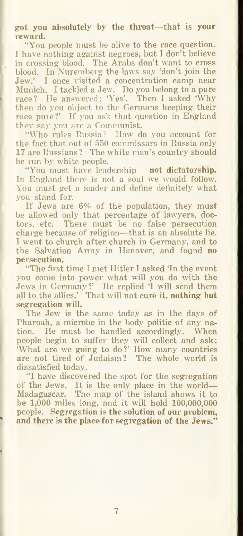got you absolutely by the throat—that is your reward.

—

"You people must be alive to the race question. <sup>I</sup> have nothing against negroes, but <sup>I</sup> don't believe in crossing blood. The Arabs don't want to cross blood. In Nuremberg the laws say 'don't join the Jew.' <sup>I</sup> once visited a concentration camp near Munich. <sup>I</sup>tackled a Jew. Do you belong to a pure race? He answered: 'Yes'. Then <sup>I</sup> asked 'Why then do you object to the Germans keeping their race pure?' If you ask that question in England they say you are a Communist.

"Who rules Russia? How do you account for the fact that out of 550 commissars in Russia only 17 are Russians ? The white man's country should be run by white people.

"You must have leadership — not dictatorship. In England there is not a soul we would follow. You must get a leader and define definitely what you stand for.

If Jews are &% of the population, they must be allowed only that percentage of lawyers, doctors, etc. There must be no false persecution charge because of religion—-that is an absolute lie. <sup>I</sup> went to church after church in Germany, and to the Salvation Army in Hanover, and found no persecution.

"The first time <sup>I</sup> met Hitler <sup>I</sup> asked 'In the event you come into power what will you do with the Jews in Germany?' He replied 'I will send them all to the allies.' That will not cure it, nothing but segregation will.

The Jew is the same today as in the days of Pharoah, a microbe in the body politic of any nation. He must be handled accordingly. When people begin to suffer they will collect and ask: 'What are we going to do?' How many countries are not tired of Judaism? The whole world is dissatisfied today.

"I have discovered the spot for the segregation of the Jews. It is the only place in the world Madagascar. The map ofthe island shows it to be 1,000 miles long, and it will hold 100,000,000 people. Segregation is the solution of our problem, and there is the place for segregation of the Jews."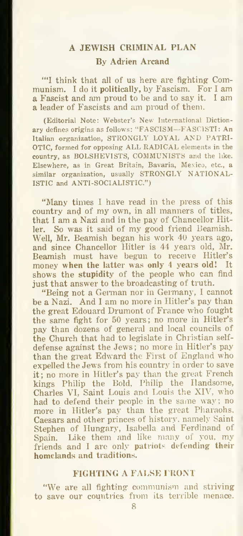# A JEWISH CRIMINAL PLAN By Adrien Arcand

'"I think that all of us here are fighting Communism. I do it politically, by Fascism. For I am a Fascist and am proud to be and to say it. <sup>I</sup> am a leader of Fascists and am proud of them.

(Editorial Note: Webster's New International Diction ary defines origins as follows: "FASCISM—FASC1STI: An Italian organization, STRONGLY LOYAL AND PATRI-OTIC, formed for opposing ALL RADICAL elements in the country, as BOLSHEVISTS, COMMUNISTS and the like. Elsewhere, as in Great Britain, Bavaria, Mexico, etc., a similar organization, usually STRONGLY NATIONAL-ISTIC and ANTI-SOCIALISTIC.")

"Many times <sup>I</sup> have read in the press of this country and of my own, in all manners of titles, that <sup>I</sup> am a Nazi and in the pay of Chancellor Hitler. So was it said of my good friend Beamish. Well, Mr. Beamish began his work 40 years ago, and since Chancellor Hitler is 44 years old, Mr. Beamish must have begun to receive Hitler's money when the latter was only <sup>4</sup> years old! It shows the stupidity of the people who can find just that answer to the broadcasting of truth.

"Being not a German nor in Germany, <sup>I</sup> cannot be a Nazi. And <sup>I</sup> am no more in Hitler's pay than the great Edouard Drumont of France who fought the same fight for 50 years; no more in Hitler's pay than dozens of general and local councils of the Church that had to legislate in Christian self defense against the Jews ; no more in Hitler's pay than the great Edward the First of England who expelled the Jews from his country in order to save it; no more in Hitler's pay than the great French kings Philip the Bold, Philip the Handsome, Charles VI, Saint Louis and Louis the XIV, who had to defend their people in the same way; no more in Hitler's pay than the great Pharaohs, Caesars and other princes of history, namely Saint Stephen of Hungary, Isabella and Ferdinand of Spain. Like them and like many of you, my friends and <sup>I</sup> are only patriots defending their homelands and traditions.

# FIGHTING A FALSE FRONT

"We are all fighting communism and striving to save our countries from its terrible menace.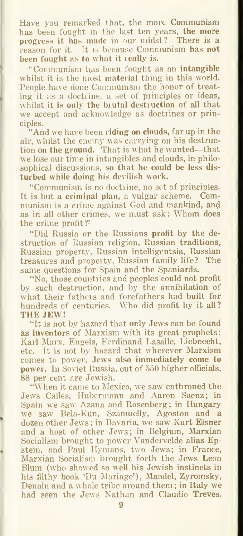Have you remarked that, the more Communism has been fought in the last ten years, the more progress it has made in our midst? There is a reason for it. It is because Communism has not been fought as to what it really is.

"Communism has been fought as an intangible whilst it is the most material thing in this world. People have done Communism the honor of treat ing itas a doctiine, a set of principles or ideas, whilst it is only the brutal destruction of all that we accept and acknowledge as doctrines or prin-<br>ciples.

cipies.<br>"And we have been riding on clouds, far up in the air, whilst the enemy was carrying on his destruction on the ground. That is what he wanted—that we lose our time in intangibles and clouds, in philo sophical discussions, so that he could be less disturbed while doing his devilish work.

"Communism is no doctiine, no set of principles. It is but a criminal plan, a vulgar scheme. Com munism is a crime against God and mankind, and as in all other crimes, we must ask: Whom does the crime profit?'

"Did Russia or the Russians profit by the de struction of Russian religion, Russian traditions, Russian property, Russian intelligentsia, Russian treasures and property, Russian family life? The same questions for Spain and the Spaniards.

"No, those countries and peoples could not profit by such destruction, and by the annihilation of what their fathers and forefathers had built for hundreds of centuries. Who did profit by it all?<br>THE JEW!

"It is not by hazard that only Jews can be found as inventors of Marxism with its great prophets: Karl Marx, Engels, Ferdinand Lasalle, Liebnecht, etc. It is not by hazard that wherever Marxism comes to power, Jews also im**mediately come to power.** In Soviet Russia, out of 550 higher officials, **the state** 88 per cent are Jewish.

"When it came to Mexico, we saw enthroned the Jews Calles, Hubermann and Aaron Saenz; in Spain we saw Azana and Rosenberg; in Hungary we saw Bela-Kun, Szamuelly, Agoston and a dozen other Jews; in Bavaria, we saw Kurt Eisner and a host of other Jews; in Belgium, Marxian Socialism brought to power Vandervelde alias Epstein, and Paul Hymans, two Jews; in France, Marxian Socialism brought forth the Jews Leon Blum (who showed so well his Jewish instincts in his filthy book 'Du Mariage'), Mandel, Zyromsky, Denain and a whole tribe around them ; in Italy we had seen the Jews Nathan and Claudio Treves.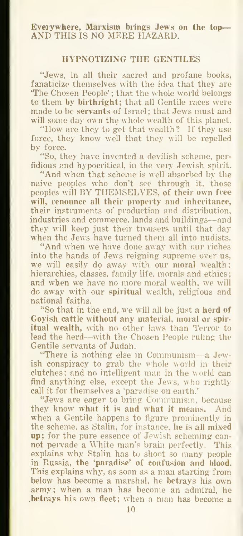Everywhere, Marxism brings Jews on the top— AND THIS IS NO MERE HAZARD.

# HYPNOTIZING THE GENTILES

"Jews, in all their sacred and profane books, fanaticize themselves with the idea that they are 'The Chosen People' ; that the whole world belongs to them by birthright; that all Gentile races were made tobe servants of Israel ; that Jews must and will some day own the whole wealth of this planet.

"Ilow are they to get that wealth? If they use force, they know well that they will be repelled by force.

"So, they have invented a devilish scheme, perfidious and hypocritical, in the very Jewish spirit.

"And when that scheme is well absorbed by the naive peoples who don't see through it, those peoples will BY THEMSELVES, of their own free will, renounce all their property and inheritance, their instruments of production and distribution, industries and commerce, lands and buildings—and they will keep just their trousers until that day when the Jews have turned them all into nudists.

"And when we have done away with our riches into the hands of Jews reigning supreme over us, we will easily do away with our moral wealth: hierarchies, classes, family life, morals and ethics; and when we have no more moral wealth, we will do away with our spiritual wealth, religious and national faiths.

"So that in the end, we will all be just a herd of Goyish cattle without any material, moral or spir itual wealth, with no other laws than Terror to lead the herd—with the Chosen People ruling the Gentile servants of Judah.

"There is nothing else in Communism—a Jewish conspiracy to grab the whole world in their clutches; and no intelligent man in the world can find anything else, except the Jews, who rightly call it for themselves a 'paradise on earth.'

"Jews are eager to bring Communism, because they know what it is and what it means. And when a Gentile happens to figure prominently in the scheme, as Stalin, for instance, he is all mixed up; for the pure essence of Jewish scheming can not pervade a White man's brain perfectly. This explains why Stalin has to shoot so many people in Russia, the 'paradise' of confusion and blood. This explains why, as soon as a man starting from below has become a marshal, he betrays his own army; when a man has become an admiral, he betrays his own fleet; when aman has become a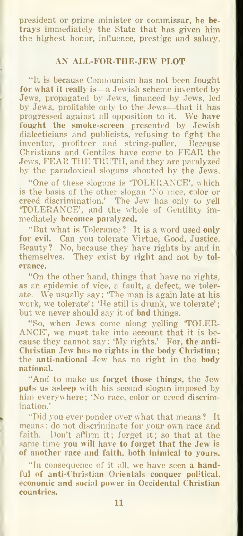president or prime minister or commissar, he be trays immediately the State that has given him the highest honor, influence, prestige and salary.

# AN ALL-FOR-THE-JEW PLOT

"It is because Communism has not been fought for what it really is—<sup>a</sup> Jewish scheme invented by Jews, propagated by Jews, financed by Jews, led by Jews, profitable only to the Jews—that it has progressed against all opposition to it. We have fought the smoke-screen presented by Jewish dialecticians and publicists, refusing to fight the inventor, profiteer and string-puller. Because Christians and Gentiles have come to FEAR the Jews, FEAR THE TRUTH, and they are paralyzed by the paradoxical slogans shouted by the Jews.

"One of these slogans is 'TOLERANCE', which is the basis of the other slogan 'No race, color or creed discrimination.' The Jew has only to yell 'TOLERANCE', and the whole of Gentility immediately becomes paralyzed.

"But what is Tolerance? It is a word used only for evil. Can you tolerate Virtue, Good, Justice, Beauty? No, because they have rights by and in themselves. They exist by right and not by tol erance.

"On the other hand, things that have no rights, as an epidemic of vice, a fault, a defect, we tolerate. We usually say: 'The man is again late at his work, we tolerate': 'He still is drunk, we tolerate'; but we never should say it of bad things.

"So, when Jews come along yelling 'TOLER-ANCE', we must take into account that it is be cause they cannot say : 'My rights.' For, the anti- Christian Jew has no rights in the body Christian: the anti-national Jew has no right in the body national.

"And to make us forget those things, the Jew puts us asleep with his second slogan imposed by him everywhere: 'No race, color or creed discrimination.'

"Did you ever ponder over what that means ? It means: do not discriminate for your own race and Don't affirm it; forget it; so that at the same time you will have to forget that the Jew is of another race and faith, both inimical to yours.

"In consequence of it all, we have seen a handful of anti-Christian Orientals conquer political, economic and social power in Occidental Christian countries.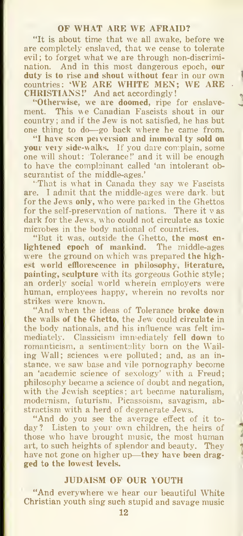# OF WHAT ARE WE AFRAID?

"It is about time that we all awake, before we are completely enslaved, that we cease to tolerate evil ; to forget what we are through non-discrimination. And in this most dangerous epoch, our duty is to rise and shout without fear in our own countries: 'WE ARE WHITE MEN; WE ARE CHRISTIANS!' And act accordingly!

"Otherwise, we are doomed, ripe for enslave-<br>ment. This we Canadian Fascists shout in our This we Canadian Fascists shout in our country ; and if the Jew is not satisfied, he has but one thing to do—go back where he came from.

"I have seen pei version and immoral ty sold on your very side-walks. If you dare complain, some one will shout: Tolerance!' and it will be enough to have the complainant called 'an intolerant obscurantist of the middle-ages.'

"That is what in Canada they say we Fascists are. <sup>I</sup> admit that the middle-ages were dark, but for the Jews only, who were parked in the Ghettos for the self-preservation of nations. There it v as dark for the Jews, who could not circulate as toxic microbes in the body national of countries.

"But it was, outside the Ghetto, the most en lightened epoch of mankind. The middle-ages were the ground on which was prepared the highest world efflorescence in philosophy, literature, painting, sculpture with its gorgeous Gothic style; an orderly social world wherein employers were human, employees happy, wherein no revolts nor strikes were known.

"And when the ideas of Tolerance broke down the walls of the Ghetto, the Jew could circulate in the body nationals, and his influence was felt immediately. Classicism immediately fell down to romanticism, a sentimentality born on the Wail ing Wall; sciences were polluted; and, as an in stance, we saw' base and vile pornography become an 'academic science of sexology' with a Freud; philosophy became a science of doubt and negation, with the Jewish sceptics; art became naturalism, modernism, futurism, Picassoism, savagism, ab stractism with a herd of degenerate Jews.

"And do you see the average effect of it to day? Listen to your own children, the heirs of those who have brought music, the most human art, to such heights of splendor and beauty. They have not gone on higher up—they have been drag- A ged to the lowest levels.

# JUDAISM OF OUR YOUTH

"And everywhere we hear our beautiful White Christian youth sing such stupid and savage music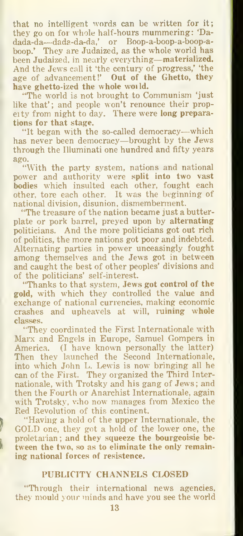that no intelligent words can be written for it; they go on for whole half-hours mummering: 'Da dada-da—dada-da-da,' or Boop-a-boop-a-boop-aboop.' They are Judaized, as the whole world has been Judaized, in nearly everything—materializ**ed.** And the Jews call it 'the century of progress,' 'the age of advancement!' Out of the Ghetto, they have ghetto-ized the whole world.

"The world is not brought to Communism 'just like that': and people won't renounce their propelty from night to day. There were long preparations for that stage.

"It began with the so-called democracy—which has never been democracy—brought by the Jews through the Illuminati one hundred and fifty years ago.

"With the party system, nations and national power and authority were split into two vast bodies which insulted each other, fought each other, tore each other. It was the beginning of national division, disunion, dismemberment.

"The treasure of the nation became just a butterplate or pork barrel, preyed upon by alternating politicians. And the more politicians got out rich of politics, the more nations got poor and indebted. Alternating parties in power unceasingly fought among themselves and the Jews got in between and caught the best of other peoples' divisions and of the politicians' self-interest.

"Thanks to that system, Jews got control of the gold, with which they controlled the value and exchange of national currencies, making economic crashes and upheavels at will, ruining whole classes.

"They coordinated the First Internationale with Marx and Engels in Europe, Samuel Gompers inAmerica. (I have known personally the latter) Then they launched the Second Internationale, into which John L. Lewis isnow bringing all he can of the First. They organized the Third Internationale, with Trotsky and his gang of Jews; and then the Fourth or Anarchist Internationale, again with Trotsky, who now manages from Mexico the Red Revolution of this continent.<br>"Having a hold of the upper Internationale, the

GOLD one, they got a hold of the lower one, the proletarian; and they squeeze the bourgeoisie be tween the two, so as to eliminate the only remaining national forces of resistence.

# PUBLICITY CHANNELS CLOSED

"Through their international news agencies, they mould your minds and have you see the world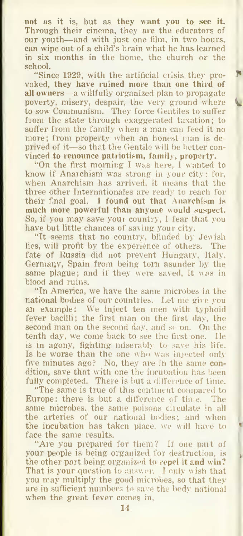not as it is, but as they want you to see it. Through their cinema, they are the educators of our youth—and with just one film, in two hours, can wipe out of <sup>a</sup> child's brain what he has learned in six months in the home, the church or the school.

"Since 1929, with the artificial crisis they pro- ^ voked, they have ruined more than one third of all owners—<sup>a</sup> willfully organized plan to propagate poverty, misery, despair, the very ground where ^ to sow Communism. They force Gentiles to suffer from the state through exaggerated taxation; to suffer from the family when a man can feed it no more; from property when an honest man is de prived of it—so that the Gentile will be better con vinced to renounce patriotism, family, property.

"On the first morning <sup>I</sup> was here, <sup>I</sup>wanted to know if Anarchism was strong in your city; for, when Anarchism has arrived, it means that the three other Internationales are ready to reach for their final goal. <sup>I</sup> found out that Anarchism is much more powerful than anyone would suspect. So, if you may save your country, <sup>I</sup> fear that you have but little chances of saving your city.

"It seems that no country, blinded by Jewish lies, will profit by the experience of others. The fate of Russia did not prevent Hungary, Italy, Germany, Spain from being torn asunder by the same plague; and if they were saved, it was in blood and ruins.

"In America, we have the same microbes in the national bodies of our countries. Let me give you an example: We inject ten men with typhoid fever bacilli; the first man on the first day, the second man on the second day, and so on. On the tenth day, we come back to see the first one. He is in agony, fighting miserably to save his life. Is he worse than the one who was injected only five minutes ago? No, they are in the same condition, save that with one the incubation has been fully completed. There is but a difference of time.

"The same is true of this continent compared to Europe: there is but a difference of time. The same microbes, the same poisons circulate in all the arteries of our national bodies; and when the incubation has taken place, we will have to face the same results.

"Are you prepared for them ? If one part of your people is being organized for destruction, is the other part being organized to repel it and win? That is your question to answer. <sup>1</sup> only wish that you may multiply the good microbes, so that they are in sufficient numbers to save the body national when the great fever comes in.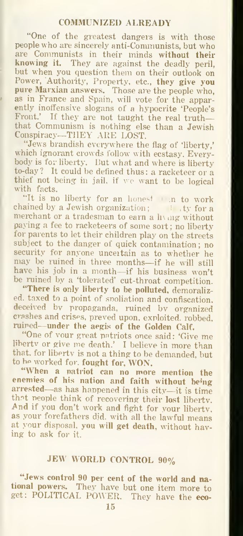# COMMUNIZED ALREADY

—

"One of the greatest dangers is with those people who are sincerely anti-Gommunists, but who knowing it. They are against the deadly peril, but when you question them on their outlook on Power, Authority, Property, etc., they give you pure Marxian answers. Those are the people who, as in France and Spain, will vote for the apparently inoffensive slogans of a hypocrite 'People's Front.' If they are not taught the real truth—<br>that Communism is nothing else than a Jewish  $Conspiracy - TIIEY$  ARE LOST.

"Jews brandish everywhere the flag of 'liberty,' which ignorant crowds follow with ecstasy. Everybody is for liberty. But what and where is liberty to-day? It could be defined thus: a racketeer or a thief not being in jail, if we want to be logical with facts.

"It is no liberty for an honest n an to work chained by a Jewish organization;  $\frac{1}{1 + k}$  for a merchant or a tradesman to earn a hydig without paying a fee to racketeers of some sort ; no liberty for parents to let their children play on the streets subject to the danger of quick contamination; no<br>security for anyone uncertain as to whether he may be ruined in three months—if he will still<br>have his job in a month—if his business won't be ruined by a 'tolerated' cut-throat competition.

"There is only liberty to be polluted, demoralized. taxed to a point of spoliation and confiscation, deceived by propaganda, ruined by organized<br>crashes and crises, preved upon, exploited, robbed, ruired—under the aegis of the Golden Calf. "One of your great patriots once said : 'Give me

liberty or give me death.' <sup>I</sup> believe in more than that, for liberty is not a thing to be demanded, but to be worked for. fought for, WON.<br>"When a patriot can no more mention the

enemies of his nation and faith without being arrested—as has happened in this city—it is time And if you don't work and fight for your liberty. as your forefathers did. with all the lawful means at your disposal, you will get death, without having to ask for it.

# JEW WORLD CONTROL 90%

"Jews control 90 per cent of the world and na-<br>tional powers. They have but one item more to get: POLITICAL POWER. They have the eco-15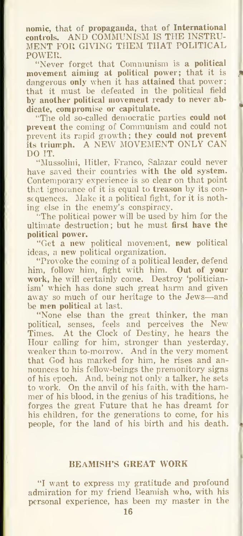nomic, that of propaganda, that of International<br>controls. AND COMMUNISM IS THE INSTRU-MENT FOR GIVING THEM THAT POLITICAL POWER.

"Never forget that Communism is a political movement aiming at political power; that it is dangerous only when it has attained that power; that it must be defeated in the political field by another political movement ready to never abdicate, compromise or capitulate.

"The old so-called democratic parties could not prevent the coming of Communism and could not prevent its rapid growth; they could not prevent its triumph. A NEW MOVEMENT ONLY CAN DO IT.

"Mussolini, Hitler, Franco, Salazar could never have saved their countries with the old system. Contemporary experience is so clear on that point that ignorance of it is equal to treason by its con sequences. Make it a political fight, for it is noth ing else in the enemy's conspiracy.

The political power will be used by him for the ultimate destruction ; but he must first have the political power.

"Get a new political movement, new political ideas, a new political organization.

"Provoke the coming of a political leader, defend him, follow him, fight with him. Out of your work, he will certainly come. Destroy 'politicianism' which has done such great harm and given away so much of our heritage to the Jews—-and be men political at last.

"None else than the great thinker, the man political, senses, feels and perceives the New' Times. At the Clock of Destiny, he hears the Hour calling for him, stronger than yesterday, weaker than to-morrow. And in the very moment that God has marked for him, he rises and an nounces to his fellow-beings the premonitory signs of his epoch. And, being not only a talker, he sets to work. On the anvil of his faith, with the ham mer of his blood, in the genius of his traditions, he forges the great Future that he has dreamt for his children, for the generations to come, for his people, for the land of his birth and his death.

# BEAMISH'S GREAT WORK

"I want to express my gratitude and profound admiration for my friend Beamish who, with his personal experience, has been my master in the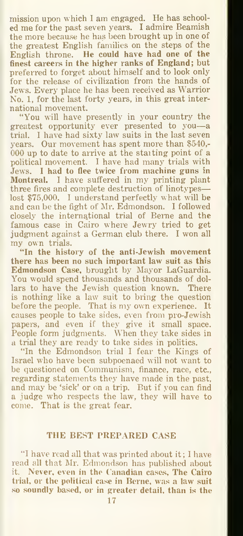mission upon which <sup>I</sup> am engaged. He has school ed me for the past seven years. <sup>I</sup> admire Beamish the more because he has been brought up in one of the greatest English families on the steps of the English throne. He could have had one of the finest careers in the higher ranks of England; but preferred to forget about himself and to look only for the release of civilization from the hands of Jews. Every place he has been received as Warrior No. 1, for the last forty years, in this great international movement.

—————

———

"You will have presently in your country the greatest opportunity ever presented to you a trial. <sup>I</sup> have had sixty law suits in the last seven years. Our movement has spent more than \$540,-  $000$  up to date to arrive at the starting point of a political movement. <sup>I</sup> have had many trials with Jews. I had to flee twice from machine guns in<br>Montreal. I have suffered in my printing plant three fires and complete destruction of linotypes lost \$75,000. <sup>I</sup> understand perfectly what will be and can be the fight of Mr. Edmondson. <sup>I</sup> followed closely the international trial of Berne and the famous case in Cairo where Jewry tried to get judgment against <sup>a</sup> German club there. <sup>I</sup> won all my own trials.

"In the history of the anti-Jewish movement there has been no such important law suit as this Edmondson Case, brought by Mayor LaGuardia. You would spend thousands and thousands of dol lars to have the Jewish question known. There is nothing like a law suit to bring the question before the people. That is my own experience. It causes people to take sides, even from pro-Jewish papers, and even if they give it small space. People form judgments. When they take sides in a trial they are ready to take sides in politics.

"In the Edmondson trial <sup>I</sup> fear the Kings of Israel who have been subpoenaed will not want to be questioned on Communism, finance, race, etc., regarding statements they have made in the past. and may be 'sick' or on a trip. But if you can find a judge who respects the law, they will have to come. That is the great fear.

#### THE BEST PREPARED CASE

"I have read all that was piinted about it; <sup>I</sup> have read all that Mr. Edmondson has published about it. Never, even in the Canadian cases. The Cairo trial, or the political case in Berne, was alaw suit so soundly based, or in greater detail, than is the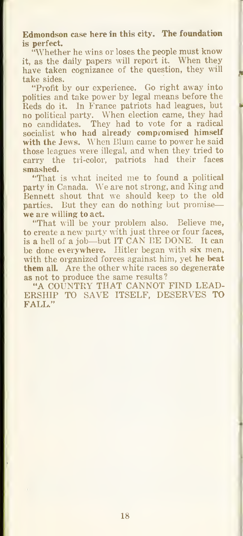Edmondson case here in this city. The foundation is perfect.

—

"Whether he wins or loses the people must know it, as the daily papers will report it. When they have taken cognizance of the question, they will take sides.

take sides. "Profit by our experience. Go right away into politics and take power by legal means before the Reds do it.In France patriots had leagues, but no political party. When election came, they had no candidates. They had to vote for a radical socialist who had already compromised himself with the Jews. When Blum came to power he said those leagues were illegal, and when they tried to carry the tri-color, patriots had their faces smashed.

"That iswhat incited me to found a political party in Canada. We are not strong, and King and Bennett shout that we should keep to the old parties. But they can do nothing but promise we are willing to act.

"That will be your problem also. Believe me, to create a new party with just three or four faces, is <sup>a</sup> hell of <sup>a</sup> job—but IT CAN BE DONE. It can be done everywhere. Hitler began with six men, with the organized forces against him, yet he beat them all. Are the other white races so degenerate as not to produce the same results?

"A COUNTRY THAT CANNOT FIND LEAD-ERSHIP TO SAVE ITSELF, DESERVES TO FALL."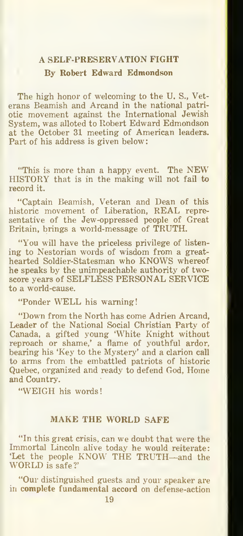# A SELF-PRESERVATION FIGHT By Robert Edward Edmondson

The high honor of welcoming to the U. S., Veterans Beamish and Arcand in the national patriotic movement against the International Jewish System, was alloted to Robert Edward Edmondson at the October 31 meeting of American leaders. Part of his address is given below

"This is more than <sup>a</sup> happy event. The NEW HISTORY that is in the making will not fail to record it.

"Captain Beamish, Veteran and Dean of this historic movement of Liberation, REAL repre sentative of the Jew-oppressed people of Great Britain, brings a world-message of TRUTH.

"You will have the priceless privilege of listen ing to Nestorian words of wisdom from a great hearted Soldier-Statesman who KNOWS whereof he speaks by the unimpeachable authority of twoscore years of SELFLESS PERSONAL SERVICE to a world-cause.

"Ponder WELL his warning!

"Down from the North has come Adrien Arcand, Leader of the National Social Christian Party of Canada, a gifted young 'White Knight without reproach or shame,' a flame of youthful ardor, bearing his 'Key to the Mystery' and a clarion call to arms from the embattled patriots of historic Quebec, organized and ready to defend God, Home and Country.

"WEIGH his words!

#### MAKE THE WORLD SAFE

"In this great crisis, can we doubt that were the Immortal Lincoln alive today he would reiterate: 'Let the people KNOW THE TRUTH—and the WORLD is safe?'

"Our distinguished guests and your speaker are in complete fundamental accord on defense-action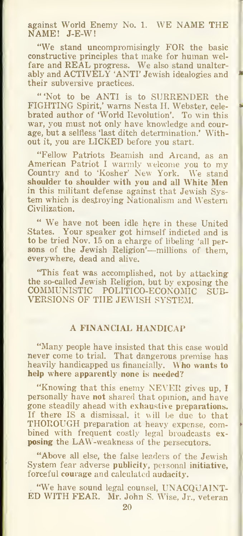against World Enemy No. 1.WE NAME THE NAME! J-E-W!

"We stand uncompromisingly FOR the basic constructive principles that make for human welfare and REAL progress. We also stand unalterably and ACTIVELY 'ANTI' Jewish idealogies and their subversive practices.

'"Not to be ANTI is to SURRENDER the FIGHTING Spirit,' warns Nesta II.Webster, cele- brated author of 'World Revolution'. To win this war, you must not only have knowledge and courage, but a selfless 'last ditch determination.' Without it, you are LICKED before you start.

"Fellow Patriots Beamish and Arcand, as an American Patriot I warmly welcome you to my Country and to 'Kosher' New York. We stand shoulder to shoulder with you and all White Men in this militant defense against that Jewish Sys tem which is destroying Nationalism and Western Civilization.

" We have not been idle here in these United States. Your speaker got himself indicted and is to be tried Nov. 15 on a charge of libeling 'all per sons of the Jewish Religion'—millions of them, everywhere, dead and alive.

"This feat was accomplished, not by attacking COMMUNISTIC POLITICO-ECONOMIC SUB-<br>VERSIONS OF THE JEWISH SYSTEM.

# A FINANCIAL HANDICAP

"Many people have insisted that this case would never come to trial. That dangerous premise has heavily handicapped us financially. Who wants to help where apparently none is needed?

"Knowing that this enemy NEVER gives up, <sup>I</sup> personally have not shared that opinion, and have gone steadily ahead with exhaustive preparations.<br>If there IS a dismissal, it will be due to that THOROUGH preparation at heavy expense, combined with frequent costly legal broadcasts ex posing the LAW-weakness of the persecutors.

"Above all else, the false leaders of the Jewish System fear adverse publicity, personal initiative, forceful courage and calculated audacity.

, "We have sound legal counsel, UNACQUAINT- ED WITH FEAR. Mr. John S.Wise, Jr., veteran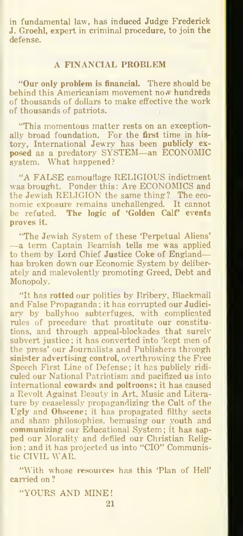in fundamental law, has induced Judge Frederick J. Groehl, expert in criminal procedure, to join the defense.

—

# A FINANCIAL PROBLEM

"Our only problem isfinancial. There should be behind this Americanism movement now hundreds of thousands of dollars to make effective the work of thousands of patriots.

"This momentous matter rests on an exceptionally broad foundation. For the first time in his-<br>tory, International Jewry has been **publicly ex-** posed as a predatory SYSTEM—an ECONOMIC system. What happened?

"A FALSE camouflage RELIGIOUS indictment was brought. Ponder this: Are ECONOMICS and the Jewish RELIGION the same thing? The eco- nomic exposure remains unchallenged. It cannot be refuted. The logic of 'Golden Calf' events proves it.

"The Jewish System of these 'Perpetual Aliens' —a term Captain Beamish tells me was applied to them by Lord Chief Justice Coke of England has broken down our Economic System by deliberately and malevolently promoting Greed, Debt and Monopoly.

"It has rotted our politics by Bribery, Blackmail and False Propaganda ; ithas corrupted our Judiciary' by ballyhoo subterfuges, with complicated rules of procedure that prostitute our constitutions, and through appeal-blockades that surely subvert justice; it has converted into 'kept men of the press' our Journalists and Publishers through sinister advertising control, overthrowing the Free Speech First Line of Defense; it has publicly ridiculed our National Patriotism and pacifized us into international cowards and poltroons; it has caused a Revolt Against Beauty in Art. Music and Litera ture by ceaselessly propagandizing the Cult of the Ugly and Obscene; it has propagated filthy sects and sham philosophies, bemusing our youth and communizing our Educational System; it has sap ped our Morality and defiled our Christian Religion ; and it has projected us into "CIO" Communistic CIVIL WAR.

"With whose resources has this 'Plan of Hell' carried on ?

"YOURS AND MINE! 21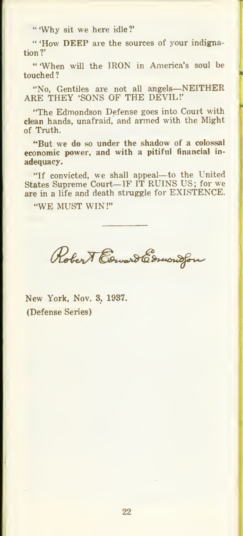" 'Why sit we here idle ?'

" 'How DEEP are the sources of your indignation ?'

" 'When will the IRON in America's soul be<br>touched? touched ? **for the contract of the contract of the contract of the contract of the contract of the contract of the contract of the contract of the contract of the contract of the contract of the contract of the contract of** 

"No, Gentiles are not all angels—-NEITHER ARE THEY 'SONS OF THE DEVIL!'

"The Edmondson Defense goes into Court with clean hands, unafraid, and armed with the Might of Truth.

"But we do so under the shadow of a colossal economic power, and with a pitiful financial in adequacy.

"If convicted, we shall appeal—to the United States Supreme Court—IF IT RUINS US; for we are in <sup>a</sup> life and death struggle for EXISTENCE.

"WE MUST WIN!"

Robert Edward Edmondform

New York, Nov. 3, 1937. (Defense Series)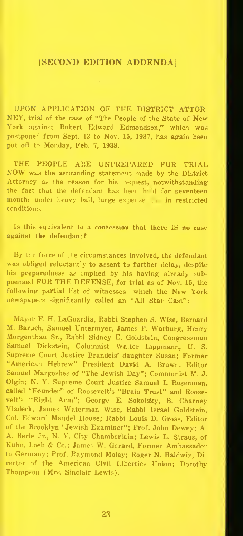#### <sup>|</sup> SECOND EDITION ADDENDA]

UPON APPLICATION OF THE DISTRICT ATTOR-NEY, trial of the case of "The People of the State of New York against Robert Edward Edmondson," which was postponed from Sept. 13 to Nov. 15, 1937, has again been put off to Monday, Feb. 7, 1938.

THE PEOPLE ARE UNPREPARED FOR TRIAL NOW was the astounding statement made by the District Attorney as the reason for his 'equest, notwithstanding the fact that the defendant has been hild for seventeen months under heavy bail, large expense the in restricted conditions.

Is this equivalent to a confession that there IS no case against the defendant?

By the force of the circumstances involved, the defendant was obliged reluctantly to assent to further delay, despite his preparedness as implied by his having already sub poenaed FOR THE DEFENSE, for trial as of Nov. 15, the following partial list of witnesses—which the New York newspapers significantly called an "All Star Cast":

Mayor F. H. LaGuardia, Rabbi Stephen S. Wise, Bernard M. Baruch, Samuel Untermyer, James P.Warburg, Henry Morgenthau Sr., Rabbi Sidney E. Goldstein, Congressman Samuel Dickstein, Columnist Walter Lippmann, U. S. Supreme Court Justice Brandeis' daughter Susan; Former "American Hebrew" President David A. Brown, Editor Samuel Margoshes of "The Jewish Day"; Communist M. J.Olgin; N. Y. Supreme Court Justice Samuel I. Rosenman, called "Founder" of Roosevelt's "Brain Trust" and Roosevelt's "Right Arm"; George E. Sokolsky, B. Charney Vladeck, James Waterman Wise, Rabbi Israel Goldstein, Col. Edward Mandel House; Rabbi Louis D. Gross, Editor of the Brooklyn "Jewish Examiner"; Prof. John Dewey; A. A. Berle Jr., N. Y. City Chamberlain; Lewis L. Straus, of Kuhn, Loeb & Co.; James W. Gerard, Former Ambassador to Germany; Prof. Raymond Moley; Roger N. Baldwin, Director of the American Civil Liberties Union; Dorothy Thompson (Mrs. Sinclair Lewis).